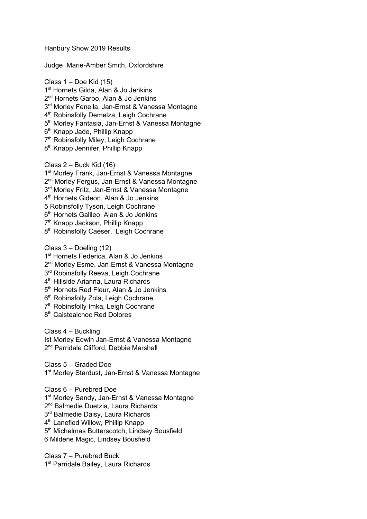Hanbury Show 2019 Results

Judge Marie-Amber Smith, Oxfordshire

Class 1 – Doe Kid (15) 1<sup>st</sup> Hornets Gilda, Alan & Jo Jenkins 2<sup>nd</sup> Hornets Garbo, Alan & Jo Jenkins 3<sup>rd</sup> Morley Fenella, Jan-Ernst & Vanessa Montagne 4<sup>th</sup> Robinsfolly Demelza, Leigh Cochrane 5<sup>th</sup> Morley Fantasia, Jan-Ernst & Vanessa Montagne 6<sup>th</sup> Knapp Jade, Phillip Knapp 7<sup>th</sup> Robinsfolly Miley, Leigh Cochrane 8<sup>th</sup> Knapp Jennifer, Phillip Knapp

Class 2 – Buck Kid (16) 1<sup>st</sup> Morley Frank, Jan-Ernst & Vanessa Montagne 2<sup>nd</sup> Morley Fergus, Jan-Ernst & Vanessa Montagne 3<sup>rd</sup> Morley Fritz, Jan-Ernst & Vanessa Montagne 4 th Hornets Gideon, Alan & Jo Jenkins 5 Robinsfolly Tyson, Leigh Cochrane 6 th Hornets Galileo, Alan & Jo Jenkins 7<sup>th</sup> Knapp Jackson, Phillip Knapp 8<sup>th</sup> Robinsfolly Caeser, Leigh Cochrane

Class 3 – Doeling (12) 1<sup>st</sup> Hornets Federica, Alan & Jo Jenkins 2<sup>nd</sup> Morley Esme, Jan-Ernst & Vanessa Montagne 3<sup>rd</sup> Robinsfolly Reeva, Leigh Cochrane 4<sup>th</sup> Hillside Arianna, Laura Richards 5<sup>th</sup> Hornets Red Fleur, Alan & Jo Jenkins 6<sup>th</sup> Robinsfolly Zola, Leigh Cochrane 7<sup>th</sup> Robinsfolly Imka, Leigh Cochrane 8<sup>th</sup> Caistealcnoc Red Dolores

Class 4 – Buckling Ist Morley Edwin Jan-Ernst & Vanessa Montagne 2<sup>nd</sup> Parridale Clifford, Debbie Marshall

Class 5 – Graded Doe 1<sup>st</sup> Morley Stardust, Jan-Ernst & Vanessa Montagne

Class 6 – Purebred Doe 1<sup>st</sup> Morley Sandy, Jan-Ernst & Vanessa Montagne 2<sup>nd</sup> Balmedie Duetzia, Laura Richards 3<sup>rd</sup> Balmedie Daisy, Laura Richards 4<sup>th</sup> Lanefied Willow, Phillip Knapp 5<sup>th</sup> Michelmas Butterscotch, Lindsey Bousfield 6 Mildene Magic, Lindsey Bousfield

Class 7 – Purebred Buck 1<sup>st</sup> Parridale Bailey, Laura Richards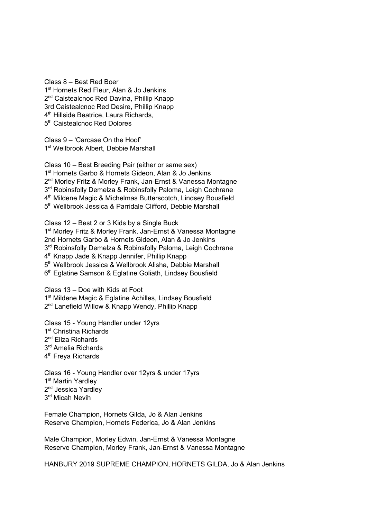Class 8 – Best Red Boer 1<sup>st</sup> Hornets Red Fleur, Alan & Jo Jenkins 2<sup>nd</sup> Caistealcnoc Red Davina, Phillip Knapp 3rd Caistealcnoc Red Desire, Phillip Knapp 4<sup>th</sup> Hillside Beatrice, Laura Richards, 5<sup>th</sup> Caistealcnoc Red Dolores

Class 9 – 'Carcase On the Hoof' 1<sup>st</sup> Wellbrook Albert, Debbie Marshall

Class 10 – Best Breeding Pair (either or same sex) 1<sup>st</sup> Hornets Garbo & Hornets Gideon, Alan & Jo Jenkins 2<sup>nd</sup> Morley Fritz & Morley Frank, Jan-Ernst & Vanessa Montagne 3<sup>rd</sup> Robinsfolly Demelza & Robinsfolly Paloma, Leigh Cochrane 4<sup>th</sup> Mildene Magic & Michelmas Butterscotch, Lindsey Bousfield 5<sup>th</sup> Wellbrook Jessica & Parridale Clifford, Debbie Marshall

Class 12 – Best 2 or 3 Kids by a Single Buck 1<sup>st</sup> Morley Fritz & Morley Frank, Jan-Ernst & Vanessa Montagne 2nd Hornets Garbo & Hornets Gideon, Alan & Jo Jenkins 3<sup>rd</sup> Robinsfolly Demelza & Robinsfolly Paloma, Leigh Cochrane 4 th Knapp Jade & Knapp Jennifer, Phillip Knapp 5<sup>th</sup> Wellbrook Jessica & Wellbrook Alisha, Debbie Marshall 6<sup>th</sup> Eglatine Samson & Eglatine Goliath, Lindsey Bousfield

Class 13 – Doe with Kids at Foot 1<sup>st</sup> Mildene Magic & Eglatine Achilles, Lindsey Bousfield 2<sup>nd</sup> Lanefield Willow & Knapp Wendy, Phillip Knapp

Class 15 - Young Handler under 12yrs 1<sup>st</sup> Christina Richards 2<sup>nd</sup> Eliza Richards 3<sup>rd</sup> Amelia Richards 4<sup>th</sup> Freya Richards

Class 16 - Young Handler over 12yrs & under 17yrs 1<sup>st</sup> Martin Yardley 2<sup>nd</sup> Jessica Yardley 3 rd Micah Nevih

Female Champion, Hornets Gilda, Jo & Alan Jenkins Reserve Champion, Hornets Federica, Jo & Alan Jenkins

Male Champion, Morley Edwin, Jan-Ernst & Vanessa Montagne Reserve Champion, Morley Frank, Jan-Ernst & Vanessa Montagne

HANBURY 2019 SUPREME CHAMPION, HORNETS GILDA, Jo & Alan Jenkins